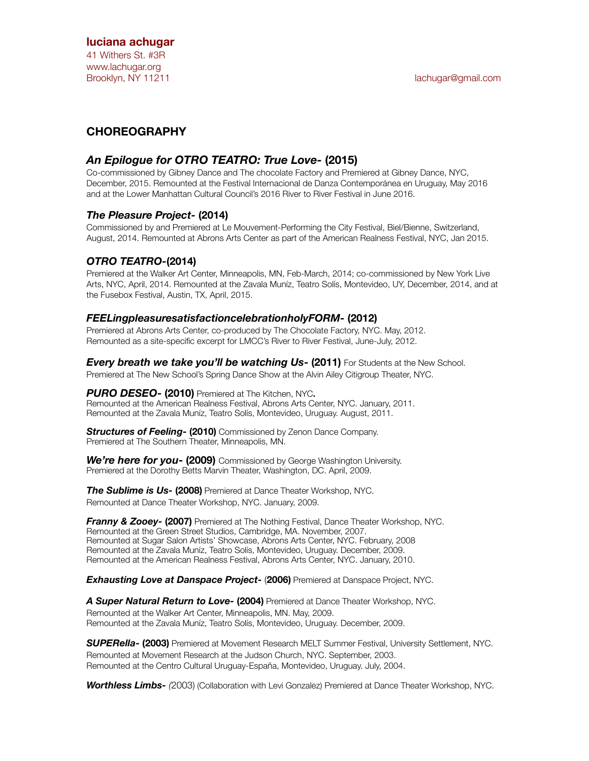#### **luciana achugar**

41 Withers St. #3R www.lachugar.org Brooklyn, NY 11211 **and the Contract Contract Contract Contract Contract Contract Contract Contract Contract Contract Contract Contract Contract Contract Contract Contract Contract Contract Contract Contract Contract Contr** 

## **CHOREOGRAPHY**

### *An Epilogue for OTRO TEATRO: True Love-* **(2015)**

Co-commissioned by Gibney Dance and The chocolate Factory and Premiered at Gibney Dance, NYC, December, 2015. Remounted at the Festival Internacional de Danza Contemporánea en Uruguay, May 2016 and at the Lower Manhattan Cultural Council's 2016 River to River Festival in June 2016.

#### *The Pleasure Project-* **(2014)**

Commissioned by and Premiered at Le Mouvement-Performing the City Festival, Biel/Bienne, Switzerland, August, 2014. Remounted at Abrons Arts Center as part of the American Realness Festival, NYC, Jan 2015.

### *OTRO TEATRO-***(2014)**

Premiered at the Walker Art Center, Minneapolis, MN, Feb-March, 2014; co-commissioned by New York Live Arts, NYC, April, 2014. Remounted at the Zavala Muníz, Teatro Solís, Montevideo, UY, December, 2014, and at the Fusebox Festival, Austin, TX, April, 2015.

#### *FEELingpleasuresatisfactioncelebrationholyFORM-* **(2012)**

Premiered at Abrons Arts Center, co-produced by The Chocolate Factory, NYC. May, 2012. Remounted as a site-specific excerpt for LMCC's River to River Festival, June-July, 2012.

*Every breath we take you'll be watching Us***- (2011)** For Students at the New School. Premiered at The New School's Spring Dance Show at the Alvin Ailey Citigroup Theater, NYC.

*PURO DESEO***- (2010)** Premiered at The Kitchen, NYC**.**  Remounted at the American Realness Festival, Abrons Arts Center, NYC. January, 2011. Remounted at the Zavala Muníz, Teatro Solís, Montevideo, Uruguay. August, 2011.

*Structures of Feeling***- (2010)** Commissioned by Zenon Dance Company. Premiered at The Southern Theater, Minneapolis, MN.

*We're here for you***- (2009)** Commissioned by George Washington University. Premiered at the Dorothy Betts Marvin Theater, Washington, DC. April, 2009.

**The Sublime is Us- (2008)** Premiered at Dance Theater Workshop, NYC. Remounted at Dance Theater Workshop, NYC. January, 2009.

*Franny & Zooey- (2007)* Premiered at The Nothing Festival, Dance Theater Workshop, NYC. Remounted at the Green Street Studios, Cambridge, MA. November, 2007. Remounted at Sugar Salon Artists' Showcase, Abrons Arts Center, NYC. February, 2008 Remounted at the Zavala Muníz, Teatro Solís, Montevideo, Uruguay. December, 2009. Remounted at the American Realness Festival, Abrons Arts Center, NYC. January, 2010.

*Exhausting Love at Danspace Project-* (**2006)** Premiered at Danspace Project, NYC.

*A Super Natural Return to Love-* **(2004)** Premiered at Dance Theater Workshop, NYC. Remounted at the Walker Art Center, Minneapolis, MN. May, 2009. Remounted at the Zavala Muníz, Teatro Solís, Montevideo, Uruguay. December, 2009.

*SUPERella-* **(2003)** Premiered at Movement Research MELT Summer Festival, University Settlement, NYC. Remounted at Movement Research at the Judson Church, NYC. September, 2003. Remounted at the Centro Cultural Uruguay-España, Montevideo, Uruguay. July, 2004.

*Worthless Limbs- (*2003) (Collaboration with Levi Gonzalez) Premiered at Dance Theater Workshop, NYC.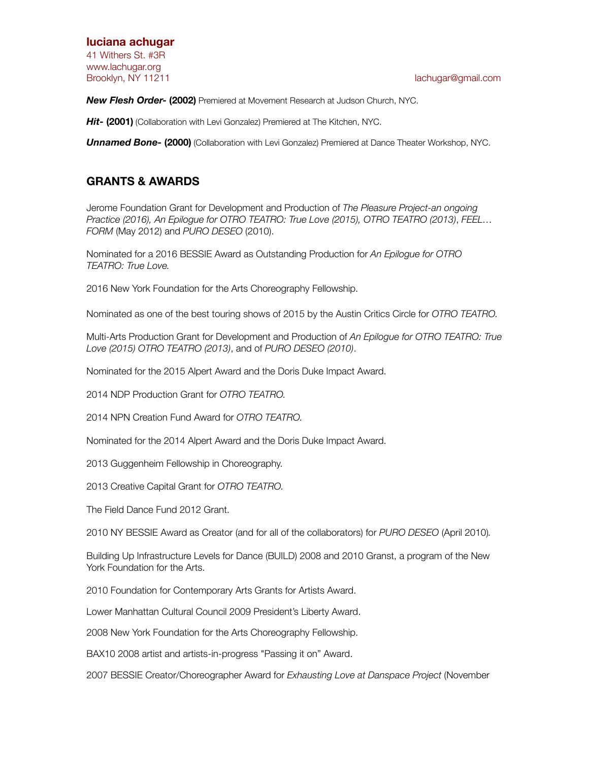#### **luciana achugar**  41 Withers St. #3R

www.lachugar.org

Brooklyn, NY 11211 **and 1211 Contract Contract Contract Contract Contract Contract Contract Contract Contract Contract Contract Contract Contract Contract Contract Contract Contract Contract Contract Contract Contract Co** 

*New Flesh Order-* **(2002)** Premiered at Movement Research at Judson Church, NYC.

**Hit- (2001)** (Collaboration with Levi Gonzalez) Premiered at The Kitchen, NYC.

*Unnamed Bone-* **(2000)** (Collaboration with Levi Gonzalez) Premiered at Dance Theater Workshop, NYC.

### **GRANTS & AWARDS**

Jerome Foundation Grant for Development and Production of *The Pleasure Project-an ongoing Practice (2016), An Epilogue for OTRO TEATRO: True Love (2015), OTRO TEATRO (2013)*, *FEEL… FORM* (May 2012) and *PURO DESEO* (2010).

Nominated for a 2016 BESSIE Award as Outstanding Production for *An Epilogue for OTRO TEATRO: True Love.*

2016 New York Foundation for the Arts Choreography Fellowship.

Nominated as one of the best touring shows of 2015 by the Austin Critics Circle for *OTRO TEATRO.* 

Multi-Arts Production Grant for Development and Production of *An Epilogue for OTRO TEATRO: True Love (2015) OTRO TEATRO (2013)*, and of *PURO DESEO (2010)*.

Nominated for the 2015 Alpert Award and the Doris Duke Impact Award.

2014 NDP Production Grant for *OTRO TEATRO.* 

2014 NPN Creation Fund Award for *OTRO TEATRO.* 

Nominated for the 2014 Alpert Award and the Doris Duke Impact Award.

- 2013 Guggenheim Fellowship in Choreography.
- 2013 Creative Capital Grant for *OTRO TEATRO.*

The Field Dance Fund 2012 Grant.

2010 NY BESSIE Award as Creator (and for all of the collaborators) for *PURO DESEO* (April 2010)*.* 

Building Up Infrastructure Levels for Dance (BUILD) 2008 and 2010 Granst, a program of the New York Foundation for the Arts.

2010 Foundation for Contemporary Arts Grants for Artists Award.

Lower Manhattan Cultural Council 2009 President's Liberty Award.

2008 New York Foundation for the Arts Choreography Fellowship.

BAX10 2008 artist and artists-in-progress "Passing it on" Award.

2007 BESSIE Creator/Choreographer Award for *Exhausting Love at Danspace Project* (November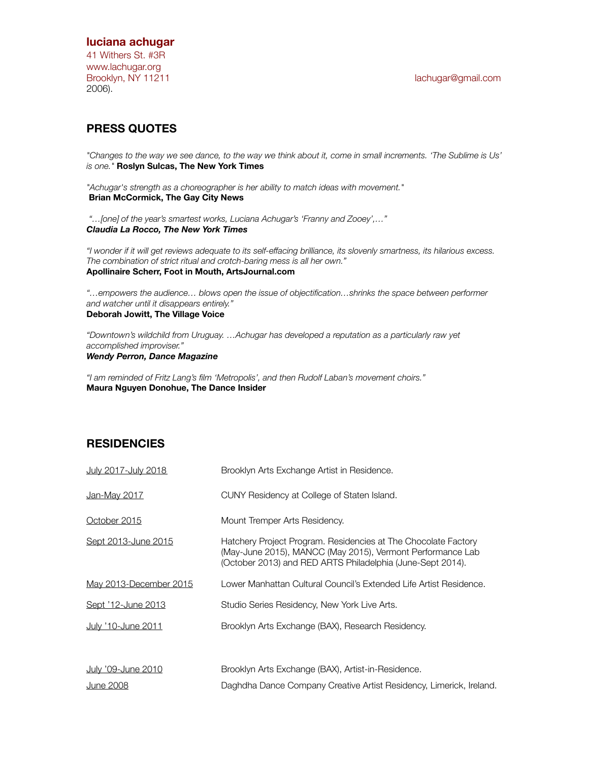#### **luciana achugar**

41 Withers St. #3R www.lachugar.org Brooklyn, NY 11211 **and 1211 Contract Contract Contract Contract Contract Contract Contract Contract Contract Contract Contract Contract Contract Contract Contract Contract Contract Contract Contract Contract Contract Co** 2006).

## **PRESS QUOTES**

*"Changes to the way we see dance, to the way we think about it, come in small increments. 'The Sublime is Us' is one."* **Roslyn Sulcas, The New York Times** 

*"Achugar's strength as a choreographer is her ability to match ideas with movement."*  **Brian McCormick, The Gay City News** 

 *"…[one] of the year's smartest works, Luciana Achugar's 'Franny and Zooey',…" Claudia La Rocco, The New York Times* 

*"I wonder if it will get reviews adequate to its self-effacing brilliance, its slovenly smartness, its hilarious excess. The combination of strict ritual and crotch-baring mess is all her own."*  **Apollinaire Scherr, Foot in Mouth, ArtsJournal.com** 

*"…empowers the audience… blows open the issue of objectification…shrinks the space between performer and watcher until it disappears entirely."*  **Deborah Jowitt, The Village Voice** 

*"Downtown's wildchild from Uruguay. …Achugar has developed a reputation as a particularly raw yet accomplished improviser." Wendy Perron, Dance Magazine* 

*"I am reminded of Fritz Lang's film 'Metropolis', and then Rudolf Laban's movement choirs."* **Maura Nguyen Donohue, The Dance Insider** 

### **RESIDENCIES**

| July 2017-July 2018    | Brooklyn Arts Exchange Artist in Residence.                                                                                                                                                |
|------------------------|--------------------------------------------------------------------------------------------------------------------------------------------------------------------------------------------|
| <u>Jan-May 2017</u>    | CUNY Residency at College of Staten Island.                                                                                                                                                |
| October 2015           | Mount Tremper Arts Residency.                                                                                                                                                              |
| Sept 2013-June 2015    | Hatchery Project Program. Residencies at The Chocolate Factory<br>(May-June 2015), MANCC (May 2015), Vermont Performance Lab<br>(October 2013) and RED ARTS Philadelphia (June-Sept 2014). |
| May 2013-December 2015 | Lower Manhattan Cultural Council's Extended Life Artist Residence.                                                                                                                         |
| Sept '12-June 2013     | Studio Series Residency, New York Live Arts.                                                                                                                                               |
| July '10-June 2011     | Brooklyn Arts Exchange (BAX), Research Residency.                                                                                                                                          |
| July '09-June 2010     | Brooklyn Arts Exchange (BAX), Artist-in-Residence.                                                                                                                                         |
| <b>June 2008</b>       | Daghdha Dance Company Creative Artist Residency, Limerick, Ireland.                                                                                                                        |